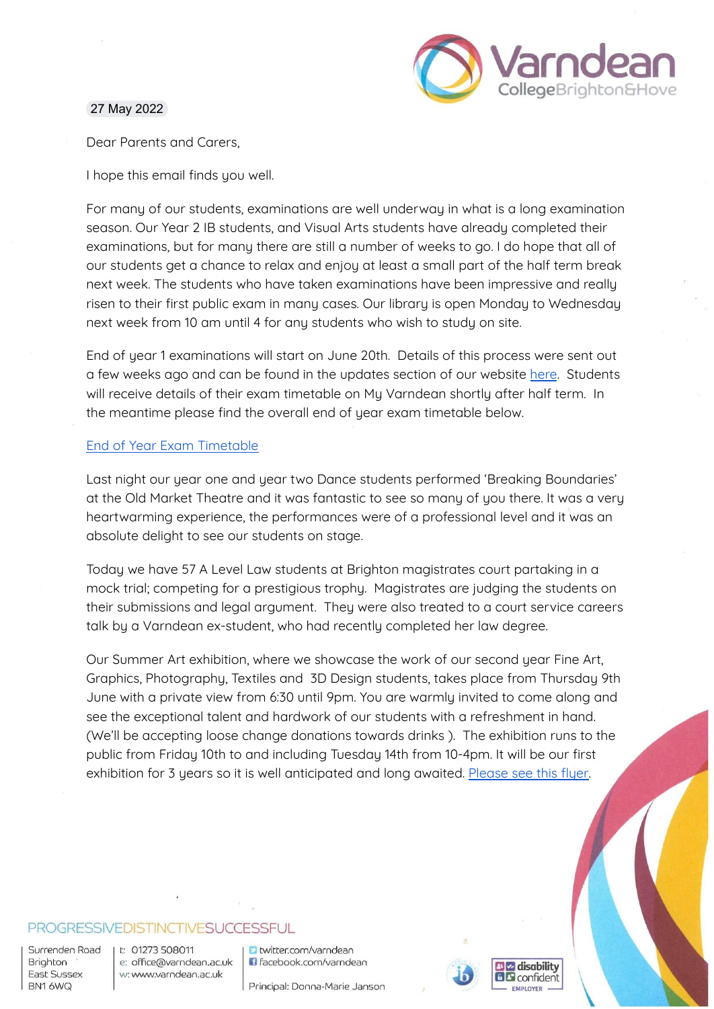

### 27 May 2022

Dear Parents and Carers,

I hope this email finds you well.

For many of our students, examinations are well underway in what is a long examination season. Our Year 2 IB students, and Visual Arts students have already completed their examinations, but for many there are still a number of weeks to go. I do hope that all of our students get a chance to relax and enjoy at least a small part of the half term break next week. The students who have taken examinations have been impressive and really risen to their first public exam in many cases. Our library is open Monday to Wednesday next week from 10 am until 4 for any students who wish to study on site.

End of year 1 examinations will start on June 20th. Details of this process were sent out a few weeks ago and can be found in the updates section of our website [here](https://varndean.ac.uk/documents/updates/Year%201%20End%20of%20Year%20Assessment%20Arrangements.pdf). Students will receive details of their exam timetable on Mu Varndean shortlu after half term. In the meantime please find the overall end of year exam timetable below.

## End of Year Exam [Timetable](https://docs.google.com/document/d/1_XgLVJwCs_xOk3DMd9MHUbRhGT1TCrMR/edit?usp=sharing&ouid=114044582685830101352&rtpof=true&sd=true)

Last night our year one and year two Dance students performed 'Breaking Boundaries' at the Old Market Theatre and it was fantastic to see so many of you there. It was a very heartwarming experience, the performances were of a professional level and it was an absolute delight to see our students on stage.

Today we have 57 A Level Law students at Brighton magistrates court partaking in a mock trial; competing for a prestigious trophy. Magistrates are judging the students on their submissions and legal argument. They were also treated to a court service careers talk by a Varndean ex-student, who had recently completed her law degree.

Our Summer Art exhibition, where we showcase the work of our second year Fine Art, Graphics, Photography, Textiles and 3D Design students, takes place from Thursday 9th June with a private view from 6:30 until 9pm. You are warmly invited to come along and see the exceptional talent and hardwork of our students with a refreshment in hand. (We'll be accepting loose change donations towards drinks ). The exhibition runs to the public from Friday 10th to and including Tuesday 14th from 10-4pm. It will be our first exhibition for 3 years so it is well anticipated and long awaited. [Please](https://drive.google.com/file/d/1lHwsIDwFlIK-vQkwHXoYLJfSrKIY8Kn7/view?usp=sharing) see this flyer.

## PROGRESSIVEDISTINCTIVESUCCESSFUL

Surrenden Road Brighton East Sussex BN16WQ

t: 01273 508011 e: office@varndean.ac.uk w: www.varndean.ac.uk

**D** twitter.com/varndean G facebook.com/varndean

Principal: Donna-Marie Janson